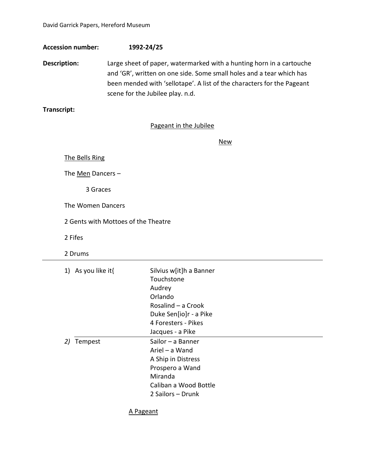David Garrick Papers, Hereford Museum

**Accession number: 1992-24/25**

**Description:** Large sheet of paper, watermarked with a hunting horn in a cartouche and 'GR', written on one side. Some small holes and a tear which has been mended with 'sellotape'. A list of the characters for the Pageant scene for the Jubilee play. n.d.

**Transcript:**

## Pageant in the Jubilee

New

The Bells Ring

The Men Dancers -

3 Graces

The Women Dancers

2 Gents with Mottoes of the Theatre

2 Fifes

2 Drums

| 1) As you like it $\{$ | Silvius w[it]h a Banner<br>Touchstone<br>Audrey<br>Orlando<br>Rosalind - a Crook<br>Duke Sen[io]r - a Pike<br>4 Foresters - Pikes<br>Jacques - a Pike |
|------------------------|-------------------------------------------------------------------------------------------------------------------------------------------------------|
| Tempest<br>2)          | Sailor – a Banner<br>Ariel – a Wand<br>A Ship in Distress<br>Prospero a Wand<br>Miranda<br>Caliban a Wood Bottle<br>2 Sailors – Drunk                 |

A Pageant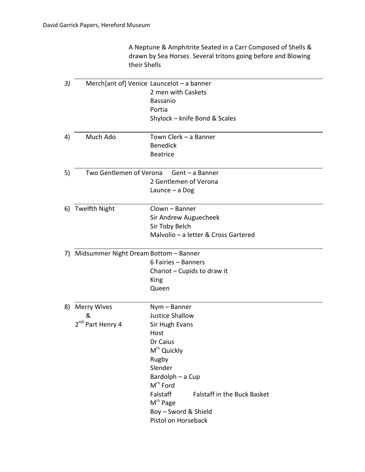A Neptune & Amphitrite Seated in a Carr Composed of Shells & drawn by Sea Horses. Several tritons going before and Blowing their Shells

|                              | Merch[ant of] Venice Launcelot $-$ a banner                                                                               |
|------------------------------|---------------------------------------------------------------------------------------------------------------------------|
|                              | 2 men with Caskets                                                                                                        |
|                              | <b>Bassanio</b>                                                                                                           |
|                              | Portia                                                                                                                    |
|                              | Shylock - knife Bond & Scales                                                                                             |
|                              |                                                                                                                           |
| Much Ado                     | Town Clerk - a Banner                                                                                                     |
|                              | <b>Benedick</b>                                                                                                           |
|                              | <b>Beatrice</b>                                                                                                           |
|                              |                                                                                                                           |
|                              | 2 Gentlemen of Verona                                                                                                     |
|                              |                                                                                                                           |
|                              | Launce - a Dog                                                                                                            |
|                              | Clown - Banner                                                                                                            |
|                              | Sir Andrew Auguecheek                                                                                                     |
|                              | Sir Toby Belch                                                                                                            |
|                              | Malvolio - a letter & Cross Gartered                                                                                      |
|                              |                                                                                                                           |
|                              | 6 Fairies - Banners                                                                                                       |
|                              | Chariot - Cupids to draw it                                                                                               |
|                              | King                                                                                                                      |
|                              | Queen                                                                                                                     |
|                              |                                                                                                                           |
|                              | Nym - Banner                                                                                                              |
| &                            | <b>Justice Shallow</b>                                                                                                    |
| 2 <sup>nd</sup> Part Henry 4 | Sir Hugh Evans                                                                                                            |
|                              | Host                                                                                                                      |
|                              | Dr Caius                                                                                                                  |
|                              | M <sup>rs</sup> Quickly                                                                                                   |
|                              | Rugby                                                                                                                     |
|                              | Slender                                                                                                                   |
|                              | Bardolph - a Cup                                                                                                          |
|                              |                                                                                                                           |
|                              | M <sup>rs</sup> Ford                                                                                                      |
|                              | Falstaff<br><b>Falstaff in the Buck Basket</b>                                                                            |
|                              |                                                                                                                           |
|                              | M <sup>rs</sup> Page<br>Boy - Sword & Shield                                                                              |
|                              | Two Gentlemen of Verona Gent - a Banner<br>6) Twelfth Night<br>7) Midsummer Night Dream Bottom - Banner<br>8) Merry Wives |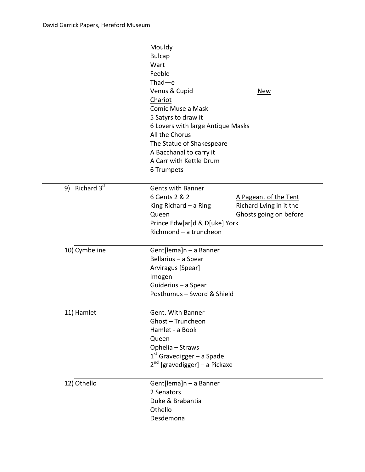|                           | Mouldy<br><b>Bulcap</b><br>Wart<br>Feeble<br>$Thad-e$<br>Venus & Cupid<br>Chariot<br>Comic Muse a Mask<br>5 Satyrs to draw it<br>6 Lovers with large Antique Masks<br>All the Chorus<br>The Statue of Shakespeare<br>A Bacchanal to carry it<br>A Carr with Kettle Drum<br>6 Trumpets | <u>New</u>                                                                 |
|---------------------------|---------------------------------------------------------------------------------------------------------------------------------------------------------------------------------------------------------------------------------------------------------------------------------------|----------------------------------------------------------------------------|
| 9) Richard 3 <sup>d</sup> | <b>Gents with Banner</b><br>6 Gents 2 & 2<br>King Richard - a Ring<br>Queen<br>Prince Edw[ar]d & D[uke] York<br>Richmond - a truncheon                                                                                                                                                | A Pageant of the Tent<br>Richard Lying in it the<br>Ghosts going on before |
| 10) Cymbeline             | Gent[lema]n - a Banner<br>Bellarius - a Spear<br>Arviragus [Spear]<br>Imogen<br>Guiderius - a Spear<br>Posthumus - Sword & Shield                                                                                                                                                     |                                                                            |
| 11) Hamlet                | Gent. With Banner<br>Ghost - Truncheon<br>Hamlet - a Book<br>Queen<br>Ophelia - Straws<br>$1st$ Gravedigger – a Spade<br>2 <sup>nd</sup> [gravedigger] - a Pickaxe                                                                                                                    |                                                                            |
| 12) Othello               | Gent[lema]n - a Banner<br>2 Senators<br>Duke & Brabantia<br>Othello<br>Desdemona                                                                                                                                                                                                      |                                                                            |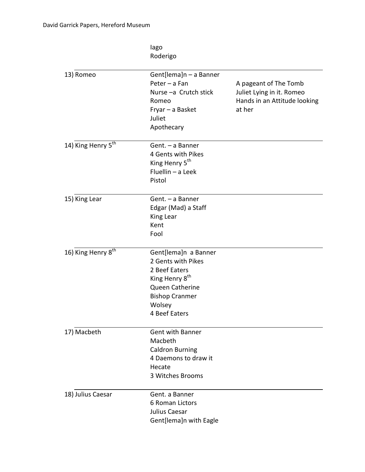Iago Roderigo

| 13) Romeo                      | Gent[lema]n - a Banner<br>Peter - a Fan<br>Nurse-a Crutch stick<br>Romeo<br>Fryar - a Basket<br>Juliet<br>Apothecary                                                    | A pageant of The Tomb<br>Juliet Lying in it. Romeo<br>Hands in an Attitude looking<br>at her |
|--------------------------------|-------------------------------------------------------------------------------------------------------------------------------------------------------------------------|----------------------------------------------------------------------------------------------|
| 14) King Henry 5 <sup>th</sup> | Gent. - a Banner<br>4 Gents with Pikes<br>King Henry 5 <sup>th</sup><br>Fluellin - a Leek<br>Pistol                                                                     |                                                                                              |
| 15) King Lear                  | Gent. - a Banner<br>Edgar (Mad) a Staff<br>King Lear<br>Kent<br>Fool                                                                                                    |                                                                                              |
| 16) King Henry 8 <sup>th</sup> | Gent[lema]n a Banner<br>2 Gents with Pikes<br>2 Beef Eaters<br>King Henry 8 <sup>th</sup><br><b>Queen Catherine</b><br><b>Bishop Cranmer</b><br>Wolsey<br>4 Beef Eaters |                                                                                              |
| 17) Macbeth                    | <b>Gent with Banner</b><br>Macbeth<br><b>Caldron Burning</b><br>4 Daemons to draw it<br>Hecate<br>3 Witches Brooms                                                      |                                                                                              |
| 18) Julius Caesar              | Gent. a Banner<br>6 Roman Lictors<br>Julius Caesar<br>Gent[lema]n with Eagle                                                                                            |                                                                                              |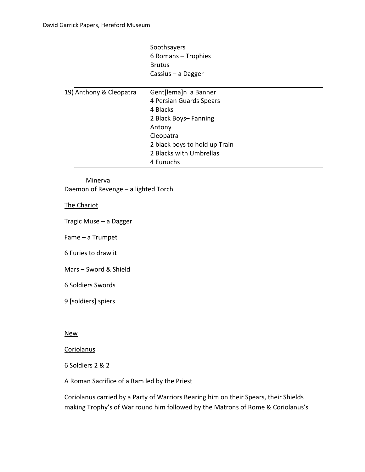Soothsayers 6 Romans – Trophies Brutus Cassius – a Dagger

| 19) Anthony & Cleopatra | Gent[lema]n a Banner          |
|-------------------------|-------------------------------|
|                         | 4 Persian Guards Spears       |
|                         | 4 Blacks                      |
|                         | 2 Black Boys-Fanning          |
|                         | Antony                        |
|                         | Cleopatra                     |
|                         | 2 black boys to hold up Train |
|                         | 2 Blacks with Umbrellas       |
|                         | 4 Eunuchs                     |

Minerva Daemon of Revenge – a lighted Torch

The Chariot

Tragic Muse – a Dagger

Fame – a Trumpet

6 Furies to draw it

Mars – Sword & Shield

6 Soldiers Swords

9 [soldiers] spiers

New

**Coriolanus** 

6 Soldiers 2 & 2

A Roman Sacrifice of a Ram led by the Priest

Coriolanus carried by a Party of Warriors Bearing him on their Spears, their Shields making Trophy's of War round him followed by the Matrons of Rome & Coriolanus's